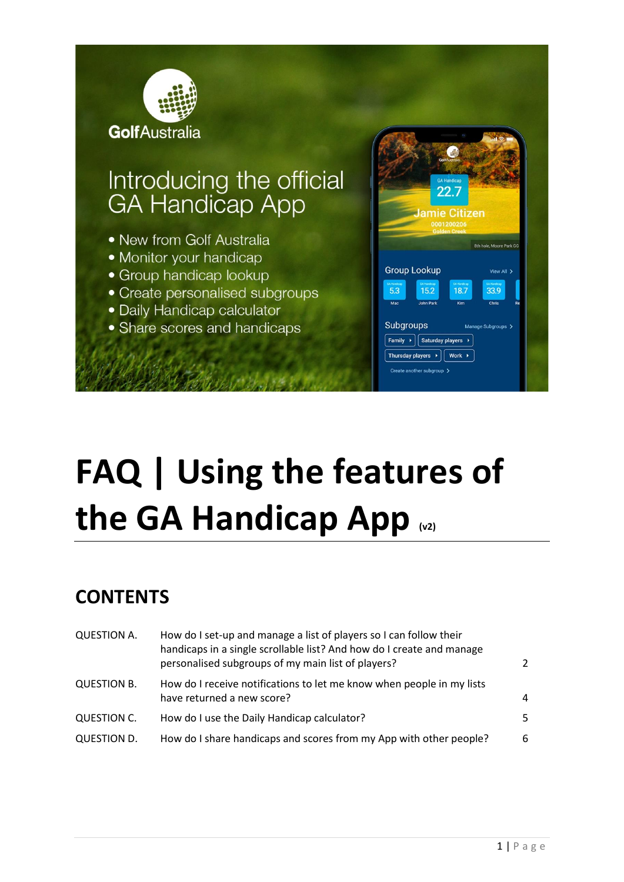

# **FAQ | Using the features of the GA Handicap App (v2)**

## **CONTENTS**

| <b>QUESTION A.</b> | How do I set-up and manage a list of players so I can follow their<br>handicaps in a single scrollable list? And how do I create and manage<br>personalised subgroups of my main list of players? | $\mathcal{P}$ |
|--------------------|---------------------------------------------------------------------------------------------------------------------------------------------------------------------------------------------------|---------------|
| <b>QUESTION B.</b> | How do I receive notifications to let me know when people in my lists<br>have returned a new score?                                                                                               | 4             |
| QUESTION C.        | How do I use the Daily Handicap calculator?                                                                                                                                                       | 5.            |
| <b>QUESTION D.</b> | How do I share handicaps and scores from my App with other people?                                                                                                                                | 6             |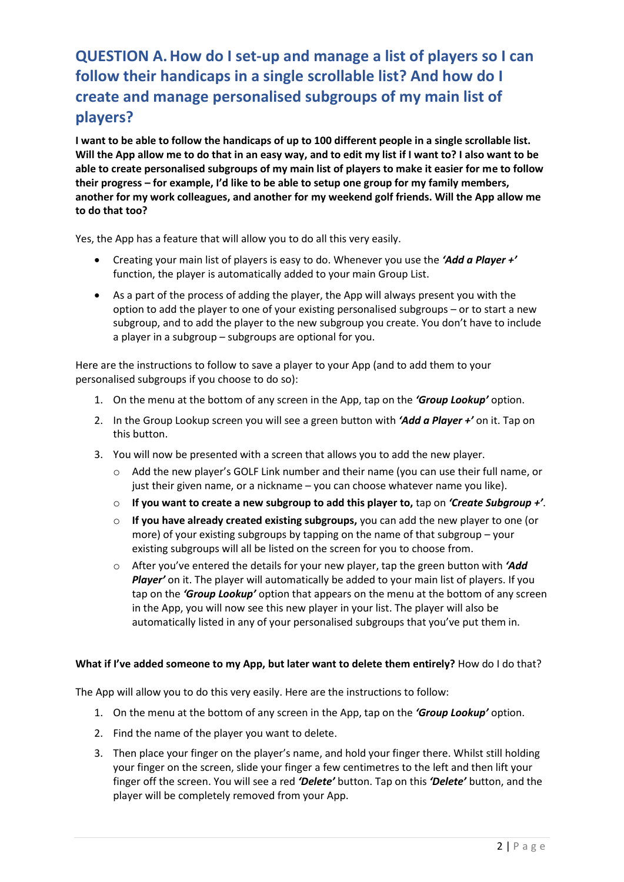## <span id="page-1-0"></span>**QUESTION A.How do I set-up and manage a list of players so I can follow their handicaps in a single scrollable list? And how do I create and manage personalised subgroups of my main list of players?**

**I want to be able to follow the handicaps of up to 100 different people in a single scrollable list. Will the App allow me to do that in an easy way, and to edit my list if I want to? I also want to be able to create personalised subgroups of my main list of players to make it easier for me to follow their progress – for example, I'd like to be able to setup one group for my family members, another for my work colleagues, and another for my weekend golf friends. Will the App allow me to do that too?**

Yes, the App has a feature that will allow you to do all this very easily.

- Creating your main list of players is easy to do. Whenever you use the *'Add a Player +'* function, the player is automatically added to your main Group List.
- As a part of the process of adding the player, the App will always present you with the option to add the player to one of your existing personalised subgroups – or to start a new subgroup, and to add the player to the new subgroup you create. You don't have to include a player in a subgroup – subgroups are optional for you.

Here are the instructions to follow to save a player to your App (and to add them to your personalised subgroups if you choose to do so):

- 1. On the menu at the bottom of any screen in the App, tap on the *'Group Lookup'* option.
- 2. In the Group Lookup screen you will see a green button with *'Add a Player +'* on it. Tap on this button.
- 3. You will now be presented with a screen that allows you to add the new player.
	- o Add the new player's GOLF Link number and their name (you can use their full name, or just their given name, or a nickname – you can choose whatever name you like).
	- o **If you want to create a new subgroup to add this player to,** tap on *'Create Subgroup +'*.
	- o **If you have already created existing subgroups,** you can add the new player to one (or more) of your existing subgroups by tapping on the name of that subgroup – your existing subgroups will all be listed on the screen for you to choose from.
	- o After you've entered the details for your new player, tap the green button with *'Add Player'* on it. The player will automatically be added to your main list of players. If you tap on the *'Group Lookup'* option that appears on the menu at the bottom of any screen in the App, you will now see this new player in your list. The player will also be automatically listed in any of your personalised subgroups that you've put them in.

#### **What if I've added someone to my App, but later want to delete them entirely?** How do I do that?

The App will allow you to do this very easily. Here are the instructions to follow:

- 1. On the menu at the bottom of any screen in the App, tap on the *'Group Lookup'* option.
- 2. Find the name of the player you want to delete.
- 3. Then place your finger on the player's name, and hold your finger there. Whilst still holding your finger on the screen, slide your finger a few centimetres to the left and then lift your finger off the screen. You will see a red *'Delete'* button. Tap on this *'Delete'* button, and the player will be completely removed from your App.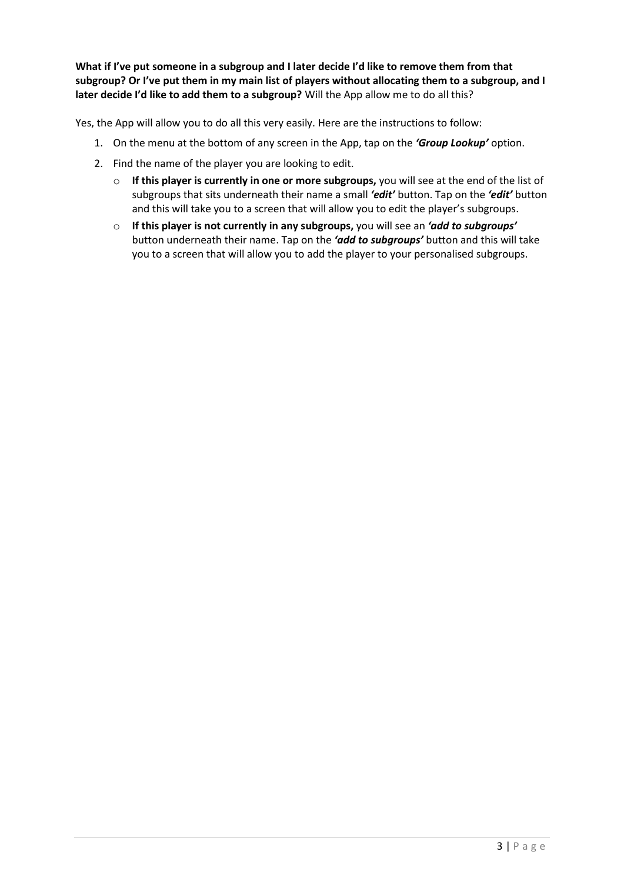**What if I've put someone in a subgroup and I later decide I'd like to remove them from that subgroup? Or I've put them in my main list of players without allocating them to a subgroup, and I later decide I'd like to add them to a subgroup?** Will the App allow me to do all this?

Yes, the App will allow you to do all this very easily. Here are the instructions to follow:

- 1. On the menu at the bottom of any screen in the App, tap on the *'Group Lookup'* option.
- 2. Find the name of the player you are looking to edit.
	- o **If this player is currently in one or more subgroups,** you will see at the end of the list of subgroups that sits underneath their name a small *'edit'* button. Tap on the *'edit'* button and this will take you to a screen that will allow you to edit the player's subgroups.
	- o **If this player is not currently in any subgroups,** you will see an *'add to subgroups'* button underneath their name. Tap on the *'add to subgroups'* button and this will take you to a screen that will allow you to add the player to your personalised subgroups.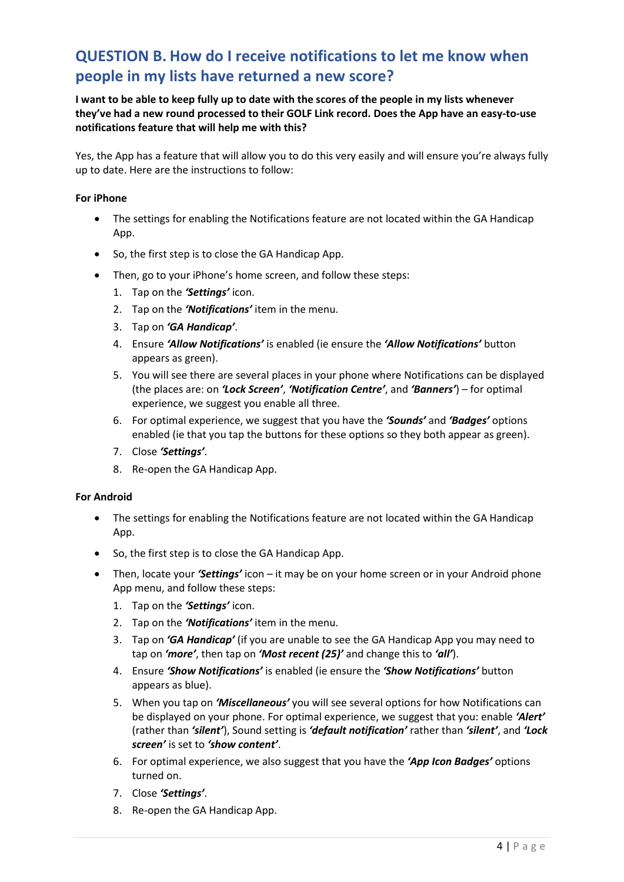## <span id="page-3-0"></span>**QUESTION B. How do I receive notifications to let me know when people in my lists have returned a new score?**

**I want to be able to keep fully up to date with the scores of the people in my lists whenever they've had a new round processed to their GOLF Link record. Does the App have an easy-to-use notifications feature that will help me with this?**

Yes, the App has a feature that will allow you to do this very easily and will ensure you're always fully up to date. Here are the instructions to follow:

#### **For iPhone**

- The settings for enabling the Notifications feature are not located within the GA Handicap App.
- So, the first step is to close the GA Handicap App.
- Then, go to your iPhone's home screen, and follow these steps:
	- 1. Tap on the *'Settings'* icon.
	- 2. Tap on the *'Notifications'* item in the menu.
	- 3. Tap on *'GA Handicap'*.
	- 4. Ensure *'Allow Notifications'* is enabled (ie ensure the *'Allow Notifications'* button appears as green).
	- 5. You will see there are several places in your phone where Notifications can be displayed (the places are: on *'Lock Screen'*, *'Notification Centre'*, and *'Banners'*) – for optimal experience, we suggest you enable all three.
	- 6. For optimal experience, we suggest that you have the *'Sounds'* and *'Badges'* options enabled (ie that you tap the buttons for these options so they both appear as green).
	- 7. Close *'Settings'*.
	- 8. Re-open the GA Handicap App.

#### **For Android**

- The settings for enabling the Notifications feature are not located within the GA Handicap App.
- So, the first step is to close the GA Handicap App.
- Then, locate your *'Settings'* icon it may be on your home screen or in your Android phone App menu, and follow these steps:
	- 1. Tap on the *'Settings'* icon.
	- 2. Tap on the *'Notifications'* item in the menu.
	- 3. Tap on *'GA Handicap'* (if you are unable to see the GA Handicap App you may need to tap on *'more'*, then tap on *'Most recent (25)'* and change this to *'all'*).
	- 4. Ensure *'Show Notifications'* is enabled (ie ensure the *'Show Notifications'* button appears as blue).
	- 5. When you tap on *'Miscellaneous'* you will see several options for how Notifications can be displayed on your phone. For optimal experience, we suggest that you: enable *'Alert'* (rather than *'silent'*), Sound setting is *'default notification'* rather than *'silent'*, and *'Lock screen'* is set to *'show content'*.
	- 6. For optimal experience, we also suggest that you have the *'App Icon Badges'* options turned on.
	- 7. Close *'Settings'*.
	- 8. Re-open the GA Handicap App.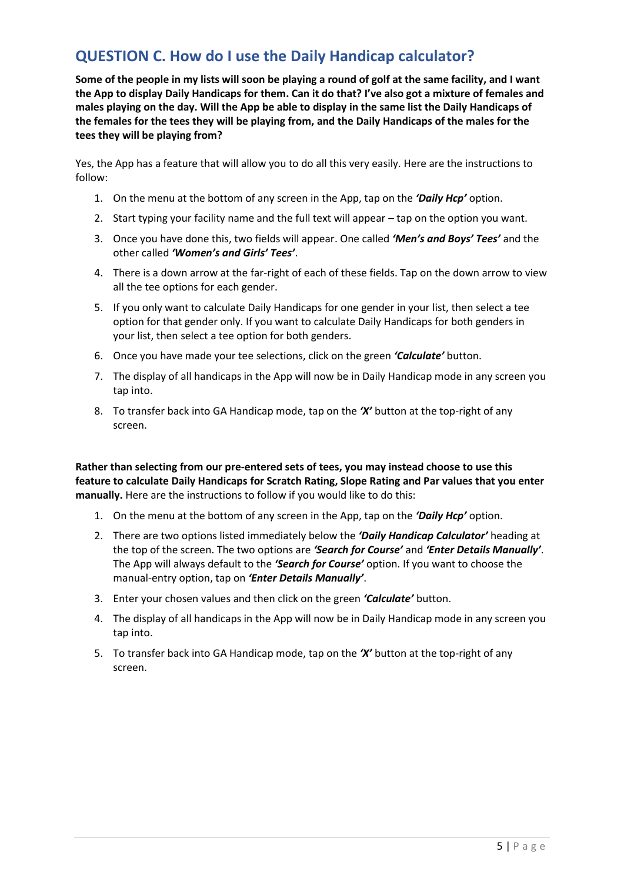### <span id="page-4-0"></span>**QUESTION C. How do I use the Daily Handicap calculator?**

**Some of the people in my lists will soon be playing a round of golf at the same facility, and I want the App to display Daily Handicaps for them. Can it do that? I've also got a mixture of females and males playing on the day. Will the App be able to display in the same list the Daily Handicaps of the females for the tees they will be playing from, and the Daily Handicaps of the males for the tees they will be playing from?**

Yes, the App has a feature that will allow you to do all this very easily. Here are the instructions to follow:

- 1. On the menu at the bottom of any screen in the App, tap on the *'Daily Hcp'* option.
- 2. Start typing your facility name and the full text will appear tap on the option you want.
- 3. Once you have done this, two fields will appear. One called *'Men's and Boys' Tees'* and the other called *'Women's and Girls' Tees'*.
- 4. There is a down arrow at the far-right of each of these fields. Tap on the down arrow to view all the tee options for each gender.
- 5. If you only want to calculate Daily Handicaps for one gender in your list, then select a tee option for that gender only. If you want to calculate Daily Handicaps for both genders in your list, then select a tee option for both genders.
- 6. Once you have made your tee selections, click on the green *'Calculate'* button.
- 7. The display of all handicaps in the App will now be in Daily Handicap mode in any screen you tap into.
- 8. To transfer back into GA Handicap mode, tap on the *'X'* button at the top-right of any screen.

**Rather than selecting from our pre-entered sets of tees, you may instead choose to use this feature to calculate Daily Handicaps for Scratch Rating, Slope Rating and Par values that you enter manually.** Here are the instructions to follow if you would like to do this:

- 1. On the menu at the bottom of any screen in the App, tap on the *'Daily Hcp'* option.
- 2. There are two options listed immediately below the *'Daily Handicap Calculator'* heading at the top of the screen. The two options are *'Search for Course'* and *'Enter Details Manually'*. The App will always default to the *'Search for Course'* option. If you want to choose the manual-entry option, tap on *'Enter Details Manually'*.
- 3. Enter your chosen values and then click on the green *'Calculate'* button.
- 4. The display of all handicaps in the App will now be in Daily Handicap mode in any screen you tap into.
- 5. To transfer back into GA Handicap mode, tap on the *'X'* button at the top-right of any screen.